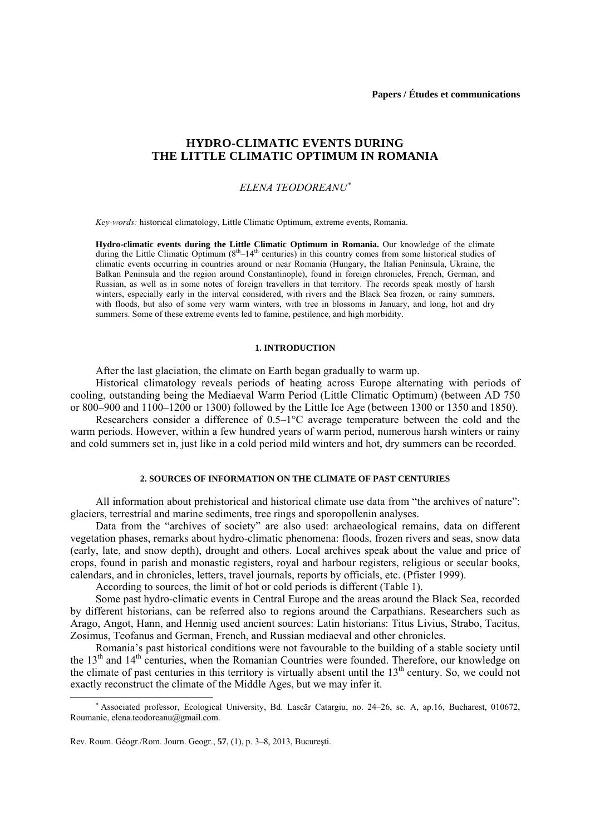# **HYDRO-CLIMATIC EVENTS DURING THE LITTLE CLIMATIC OPTIMUM IN ROMANIA**

### *ELENA TEODOREANU*<sup>∗</sup>

*Key-words:* historical climatology, Little Climatic Optimum, extreme events, Romania.

**Hydro-climatic events during the Little Climatic Optimum in Romania.** Our knowledge of the climate during the Little Climatic Optimum  $(8<sup>th</sup> - 14<sup>th</sup>$  centuries) in this country comes from some historical studies of climatic events occurring in countries around or near Romania (Hungary, the Italian Peninsula, Ukraine, the Balkan Peninsula and the region around Constantinople), found in foreign chronicles, French, German, and Russian, as well as in some notes of foreign travellers in that territory. The records speak mostly of harsh winters, especially early in the interval considered, with rivers and the Black Sea frozen, or rainy summers, with floods, but also of some very warm winters, with tree in blossoms in January, and long, hot and dry summers. Some of these extreme events led to famine, pestilence, and high morbidity.

#### **1. INTRODUCTION**

After the last glaciation, the climate on Earth began gradually to warm up.

Historical climatology reveals periods of heating across Europe alternating with periods of cooling, outstanding being the Mediaeval Warm Period (Little Climatic Optimum) (between AD 750 or 800–900 and 1100–1200 or 1300) followed by the Little Ice Age (between 1300 or 1350 and 1850).

Researchers consider a difference of 0.5–1°C average temperature between the cold and the warm periods. However, within a few hundred years of warm period, numerous harsh winters or rainy and cold summers set in, just like in a cold period mild winters and hot, dry summers can be recorded.

#### **2. SOURCES OF INFORMATION ON THE CLIMATE OF PAST CENTURIES**

All information about prehistorical and historical climate use data from "the archives of nature": glaciers, terrestrial and marine sediments, tree rings and sporopollenin analyses.

Data from the "archives of society" are also used: archaeological remains, data on different vegetation phases, remarks about hydro-climatic phenomena: floods, frozen rivers and seas, snow data (early, late, and snow depth), drought and others. Local archives speak about the value and price of crops, found in parish and monastic registers, royal and harbour registers, religious or secular books, calendars, and in chronicles, letters, travel journals, reports by officials, etc. (Pfister 1999).

According to sources, the limit of hot or cold periods is different (Table 1).

Some past hydro-climatic events in Central Europe and the areas around the Black Sea, recorded by different historians, can be referred also to regions around the Carpathians. Researchers such as Arago, Angot, Hann, and Hennig used ancient sources: Latin historians: Titus Livius, Strabo, Tacitus, Zosimus, Teofanus and German, French, and Russian mediaeval and other chronicles.

Romania's past historical conditions were not favourable to the building of a stable society until the  $13<sup>th</sup>$  and  $14<sup>th</sup>$  centuries, when the Romanian Countries were founded. Therefore, our knowledge on the climate of past centuries in this territory is virtually absent until the 13<sup>th</sup> century. So, we could not exactly reconstruct the climate of the Middle Ages, but we may infer it.

 $\overline{a}$ 

<sup>∗</sup> Associated professor, Ecological University, Bd. Lascăr Catargiu, no. 24–26, sc. A, ap.16, Bucharest, 010672, Roumanie, elena.teodoreanu@gmail.com.

Rev. Roum. Géogr./Rom. Journ. Geogr., **57**, (1), p. 3–8, 2013, Bucureşti.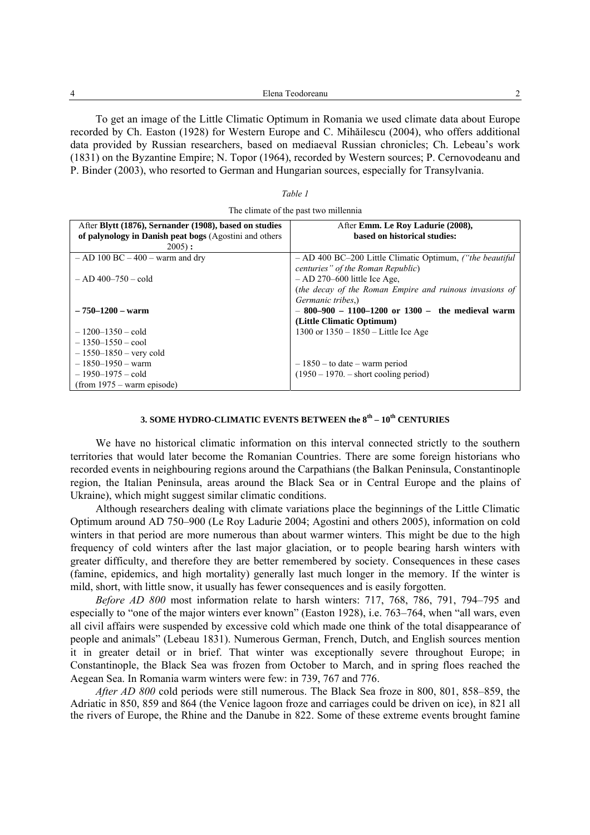| $\sim$<br>$\Box$ lena<br>. |  |
|----------------------------|--|
|                            |  |

To get an image of the Little Climatic Optimum in Romania we used climate data about Europe recorded by Ch. Easton (1928) for Western Europe and C. Mihăilescu (2004), who offers additional data provided by Russian researchers, based on mediaeval Russian chronicles; Ch. Lebeau's work (1831) on the Byzantine Empire; N. Topor (1964), recorded by Western sources; P. Cernovodeanu and P. Binder (2003), who resorted to German and Hungarian sources, especially for Transylvania.

### *Table 1*

| The climate of the past two millennia |  |  |
|---------------------------------------|--|--|
|---------------------------------------|--|--|

| After Blytt (1876), Sernander (1908), based on studies | After Emm. Le Roy Ladurie (2008),                               |
|--------------------------------------------------------|-----------------------------------------------------------------|
| of palynology in Danish peat bogs (Agostini and others | based on historical studies:                                    |
| $2005$ :                                               |                                                                 |
| $-$ AD 100 BC $-$ 400 $-$ warm and dry                 | - AD 400 BC-200 Little Climatic Optimum, <i>("the beautiful</i> |
|                                                        | centuries" of the Roman Republic)                               |
| $-$ AD 400-750 - cold                                  | $-$ AD 270–600 little Ice Age.                                  |
|                                                        | (the decay of the Roman Empire and ruinous invasions of         |
|                                                        | Germanic tribes.)                                               |
| $-750 - 1200 - warm$                                   | $-800-900 - 1100-1200$ or 1300 - the medieval warm              |
|                                                        | (Little Climatic Optimum)                                       |
| $-1200-1350$ – cold                                    | 1300 or $1350 - 1850$ – Little Ice Age                          |
| $-1350-1550 - \text{cool}$                             |                                                                 |
| $-1550-1850$ – very cold                               |                                                                 |
| $-1850-1950 - warm$                                    | $-1850$ – to date – warm period                                 |
| $-1950-1975 - \text{cold}$                             | $(1950 - 1970)$ . – short cooling period)                       |
| $(from 1975 - warm episode)$                           |                                                                 |

## **3. SOME HYDRO-CLIMATIC EVENTS BETWEEN the 8th – 10th CENTURIES**

We have no historical climatic information on this interval connected strictly to the southern territories that would later become the Romanian Countries. There are some foreign historians who recorded events in neighbouring regions around the Carpathians (the Balkan Peninsula, Constantinople region, the Italian Peninsula, areas around the Black Sea or in Central Europe and the plains of Ukraine), which might suggest similar climatic conditions.

Although researchers dealing with climate variations place the beginnings of the Little Climatic Optimum around AD 750–900 (Le Roy Ladurie 2004; Agostini and others 2005), information on cold winters in that period are more numerous than about warmer winters. This might be due to the high frequency of cold winters after the last major glaciation, or to people bearing harsh winters with greater difficulty, and therefore they are better remembered by society. Consequences in these cases (famine, epidemics, and high mortality) generally last much longer in the memory. If the winter is mild, short, with little snow, it usually has fewer consequences and is easily forgotten.

*Before AD 800* most information relate to harsh winters: 717, 768, 786, 791, 794–795 and especially to "one of the major winters ever known" (Easton 1928), i.e. 763–764, when "all wars, even all civil affairs were suspended by excessive cold which made one think of the total disappearance of people and animals" (Lebeau 1831). Numerous German, French, Dutch, and English sources mention it in greater detail or in brief. That winter was exceptionally severe throughout Europe; in Constantinople, the Black Sea was frozen from October to March, and in spring floes reached the Aegean Sea. In Romania warm winters were few: in 739, 767 and 776.

*After AD 800* cold periods were still numerous. The Black Sea froze in 800, 801, 858–859, the Adriatic in 850, 859 and 864 (the Venice lagoon froze and carriages could be driven on ice), in 821 all the rivers of Europe, the Rhine and the Danube in 822. Some of these extreme events brought famine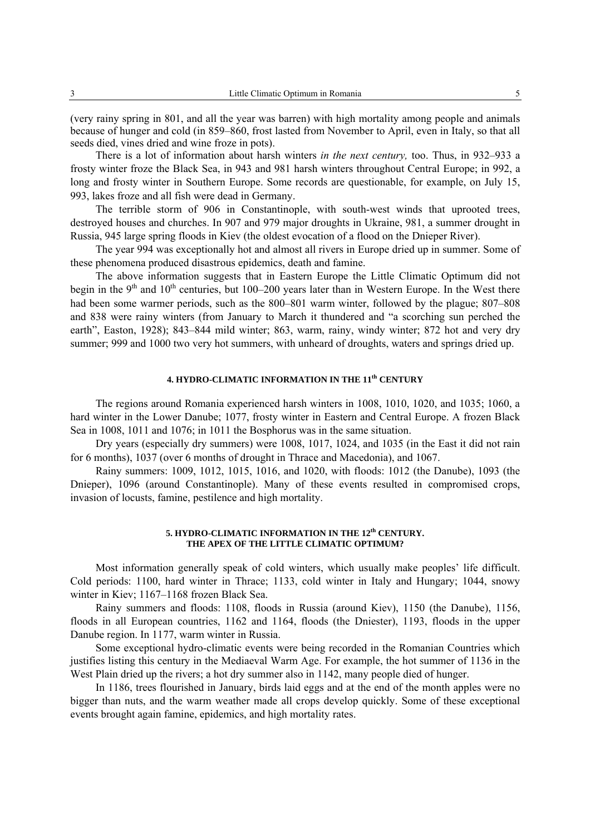(very rainy spring in 801, and all the year was barren) with high mortality among people and animals because of hunger and cold (in 859–860, frost lasted from November to April, even in Italy, so that all seeds died, vines dried and wine froze in pots).

There is a lot of information about harsh winters *in the next century,* too. Thus, in 932–933 a frosty winter froze the Black Sea, in 943 and 981 harsh winters throughout Central Europe; in 992, a long and frosty winter in Southern Europe. Some records are questionable, for example, on July 15, 993, lakes froze and all fish were dead in Germany.

The terrible storm of 906 in Constantinople, with south-west winds that uprooted trees, destroyed houses and churches. In 907 and 979 major droughts in Ukraine, 981, a summer drought in Russia, 945 large spring floods in Kiev (the oldest evocation of a flood on the Dnieper River).

The year 994 was exceptionally hot and almost all rivers in Europe dried up in summer. Some of these phenomena produced disastrous epidemics, death and famine.

The above information suggests that in Eastern Europe the Little Climatic Optimum did not begin in the  $9<sup>th</sup>$  and  $10<sup>th</sup>$  centuries, but 100–200 years later than in Western Europe. In the West there had been some warmer periods, such as the 800–801 warm winter, followed by the plague; 807–808 and 838 were rainy winters (from January to March it thundered and "a scorching sun perched the earth", Easton, 1928); 843–844 mild winter; 863, warm, rainy, windy winter; 872 hot and very dry summer; 999 and 1000 two very hot summers, with unheard of droughts, waters and springs dried up.

### **4. HYDRO-CLIMATIC INFORMATION IN THE 11th CENTURY**

The regions around Romania experienced harsh winters in 1008, 1010, 1020, and 1035; 1060, a hard winter in the Lower Danube; 1077, frosty winter in Eastern and Central Europe. A frozen Black Sea in 1008, 1011 and 1076; in 1011 the Bosphorus was in the same situation.

Dry years (especially dry summers) were 1008, 1017, 1024, and 1035 (in the East it did not rain for 6 months), 1037 (over 6 months of drought in Thrace and Macedonia), and 1067.

Rainy summers: 1009, 1012, 1015, 1016, and 1020, with floods: 1012 (the Danube), 1093 (the Dnieper), 1096 (around Constantinople). Many of these events resulted in compromised crops, invasion of locusts, famine, pestilence and high mortality.

### **5. HYDRO-CLIMATIC INFORMATION IN THE 12th CENTURY. THE APEX OF THE LITTLE CLIMATIC OPTIMUM?**

Most information generally speak of cold winters, which usually make peoples' life difficult. Cold periods: 1100, hard winter in Thrace; 1133, cold winter in Italy and Hungary; 1044, snowy winter in Kiev; 1167–1168 frozen Black Sea.

Rainy summers and floods: 1108, floods in Russia (around Kiev), 1150 (the Danube), 1156, floods in all European countries, 1162 and 1164, floods (the Dniester), 1193, floods in the upper Danube region. In 1177, warm winter in Russia.

Some exceptional hydro-climatic events were being recorded in the Romanian Countries which justifies listing this century in the Mediaeval Warm Age. For example, the hot summer of 1136 in the West Plain dried up the rivers; a hot dry summer also in 1142, many people died of hunger.

In 1186, trees flourished in January, birds laid eggs and at the end of the month apples were no bigger than nuts, and the warm weather made all crops develop quickly. Some of these exceptional events brought again famine, epidemics, and high mortality rates.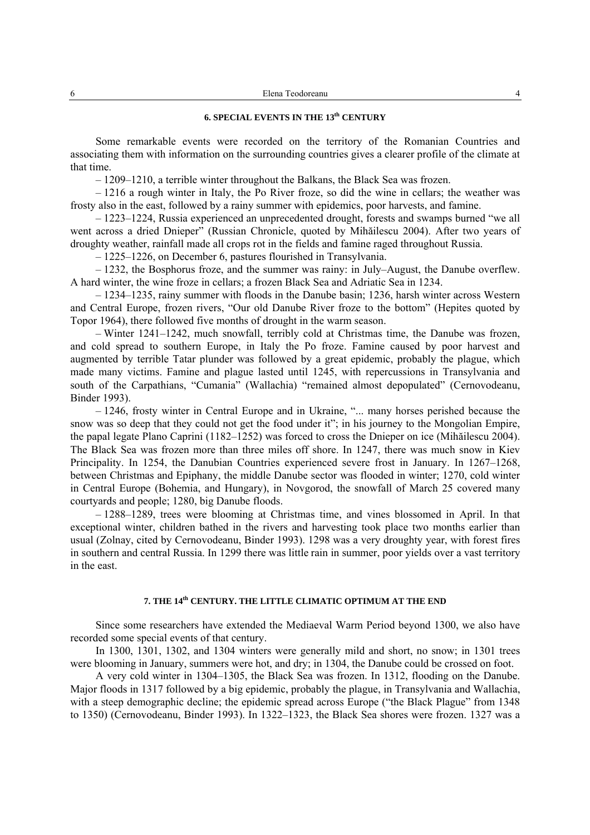### **6. SPECIAL EVENTS IN THE 13th CENTURY**

Some remarkable events were recorded on the territory of the Romanian Countries and associating them with information on the surrounding countries gives a clearer profile of the climate at that time.

– 1209–1210, a terrible winter throughout the Balkans, the Black Sea was frozen.

– 1216 a rough winter in Italy, the Po River froze, so did the wine in cellars; the weather was frosty also in the east, followed by a rainy summer with epidemics, poor harvests, and famine.

– 1223–1224, Russia experienced an unprecedented drought, forests and swamps burned "we all went across a dried Dnieper" (Russian Chronicle, quoted by Mihăilescu 2004). After two years of droughty weather, rainfall made all crops rot in the fields and famine raged throughout Russia.

– 1225–1226, on December 6, pastures flourished in Transylvania.

– 1232, the Bosphorus froze, and the summer was rainy: in July–August, the Danube overflew. A hard winter, the wine froze in cellars; a frozen Black Sea and Adriatic Sea in 1234.

– 1234–1235, rainy summer with floods in the Danube basin; 1236, harsh winter across Western and Central Europe, frozen rivers, "Our old Danube River froze to the bottom" (Hepites quoted by Topor 1964), there followed five months of drought in the warm season.

– Winter 1241–1242, much snowfall, terribly cold at Christmas time, the Danube was frozen, and cold spread to southern Europe, in Italy the Po froze. Famine caused by poor harvest and augmented by terrible Tatar plunder was followed by a great epidemic, probably the plague, which made many victims. Famine and plague lasted until 1245, with repercussions in Transylvania and south of the Carpathians, "Cumania" (Wallachia) "remained almost depopulated" (Cernovodeanu, Binder 1993).

– 1246, frosty winter in Central Europe and in Ukraine, "... many horses perished because the snow was so deep that they could not get the food under it"; in his journey to the Mongolian Empire, the papal legate Plano Caprini (1182–1252) was forced to cross the Dnieper on ice (Mihăilescu 2004). The Black Sea was frozen more than three miles off shore. In 1247, there was much snow in Kiev Principality. In 1254, the Danubian Countries experienced severe frost in January. In 1267–1268, between Christmas and Epiphany, the middle Danube sector was flooded in winter; 1270, cold winter in Central Europe (Bohemia, and Hungary), in Novgorod, the snowfall of March 25 covered many courtyards and people; 1280, big Danube floods.

– 1288–1289, trees were blooming at Christmas time, and vines blossomed in April. In that exceptional winter, children bathed in the rivers and harvesting took place two months earlier than usual (Zolnay, cited by Cernovodeanu, Binder 1993). 1298 was a very droughty year, with forest fires in southern and central Russia. In 1299 there was little rain in summer, poor yields over a vast territory in the east.

## **7. THE 14th CENTURY. THE LITTLE CLIMATIC OPTIMUM AT THE END**

Since some researchers have extended the Mediaeval Warm Period beyond 1300, we also have recorded some special events of that century.

In 1300, 1301, 1302, and 1304 winters were generally mild and short, no snow; in 1301 trees were blooming in January, summers were hot, and dry; in 1304, the Danube could be crossed on foot.

A very cold winter in 1304–1305, the Black Sea was frozen. In 1312, flooding on the Danube. Major floods in 1317 followed by a big epidemic, probably the plague, in Transylvania and Wallachia, with a steep demographic decline; the epidemic spread across Europe ("the Black Plague" from 1348 to 1350) (Cernovodeanu, Binder 1993). In 1322–1323, the Black Sea shores were frozen. 1327 was a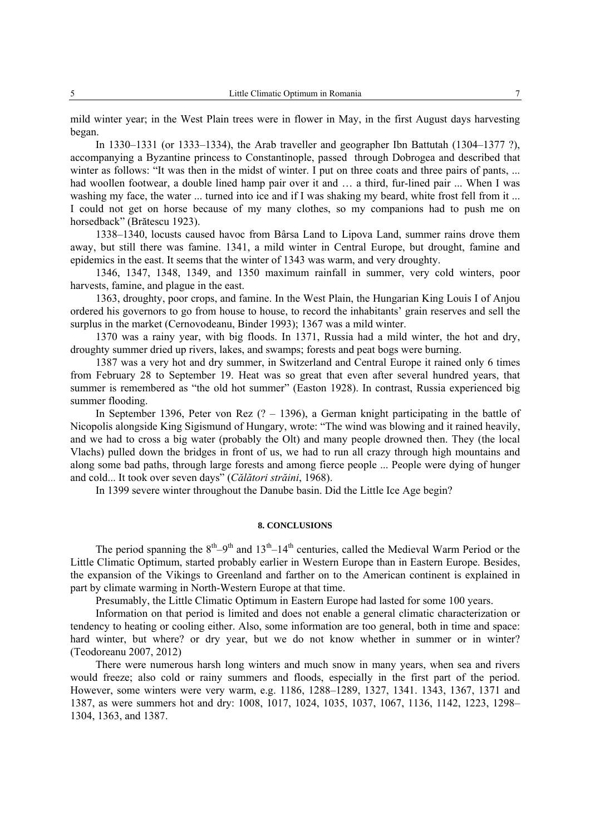mild winter year; in the West Plain trees were in flower in May, in the first August days harvesting began.

In 1330–1331 (or 1333–1334), the Arab traveller and geographer Ibn Battutah (1304–1377 ?), accompanying a Byzantine princess to Constantinople, passed through Dobrogea and described that winter as follows: "It was then in the midst of winter. I put on three coats and three pairs of pants, ... had woollen footwear, a double lined hamp pair over it and ... a third, fur-lined pair ... When I was washing my face, the water ... turned into ice and if I was shaking my beard, white frost fell from it ... I could not get on horse because of my many clothes, so my companions had to push me on horsedback" (Brătescu 1923).

1338–1340, locusts caused havoc from Bârsa Land to Lipova Land, summer rains drove them away, but still there was famine. 1341, a mild winter in Central Europe, but drought, famine and epidemics in the east. It seems that the winter of 1343 was warm, and very droughty.

1346, 1347, 1348, 1349, and 1350 maximum rainfall in summer, very cold winters, poor harvests, famine, and plague in the east.

1363, droughty, poor crops, and famine. In the West Plain, the Hungarian King Louis I of Anjou ordered his governors to go from house to house, to record the inhabitants' grain reserves and sell the surplus in the market (Cernovodeanu, Binder 1993); 1367 was a mild winter.

1370 was a rainy year, with big floods. In 1371, Russia had a mild winter, the hot and dry, droughty summer dried up rivers, lakes, and swamps; forests and peat bogs were burning.

1387 was a very hot and dry summer, in Switzerland and Central Europe it rained only 6 times from February 28 to September 19. Heat was so great that even after several hundred years, that summer is remembered as "the old hot summer" (Easton 1928). In contrast, Russia experienced big summer flooding.

In September 1396, Peter von Rez (? – 1396), a German knight participating in the battle of Nicopolis alongside King Sigismund of Hungary, wrote: "The wind was blowing and it rained heavily, and we had to cross a big water (probably the Olt) and many people drowned then. They (the local Vlachs) pulled down the bridges in front of us, we had to run all crazy through high mountains and along some bad paths, through large forests and among fierce people ... People were dying of hunger and cold... It took over seven days" (*Călători străini*, 1968).

In 1399 severe winter throughout the Danube basin. Did the Little Ice Age begin?

### **8. CONCLUSIONS**

The period spanning the  $8<sup>th</sup>-9<sup>th</sup>$  and  $13<sup>th</sup>-14<sup>th</sup>$  centuries, called the Medieval Warm Period or the Little Climatic Optimum, started probably earlier in Western Europe than in Eastern Europe. Besides, the expansion of the Vikings to Greenland and farther on to the American continent is explained in part by climate warming in North-Western Europe at that time.

Presumably, the Little Climatic Optimum in Eastern Europe had lasted for some 100 years.

Information on that period is limited and does not enable a general climatic characterization or tendency to heating or cooling either. Also, some information are too general, both in time and space: hard winter, but where? or dry year, but we do not know whether in summer or in winter? (Teodoreanu 2007, 2012)

There were numerous harsh long winters and much snow in many years, when sea and rivers would freeze; also cold or rainy summers and floods, especially in the first part of the period. However, some winters were very warm, e.g. 1186, 1288–1289, 1327, 1341. 1343, 1367, 1371 and 1387, as were summers hot and dry: 1008, 1017, 1024, 1035, 1037, 1067, 1136, 1142, 1223, 1298– 1304, 1363, and 1387.